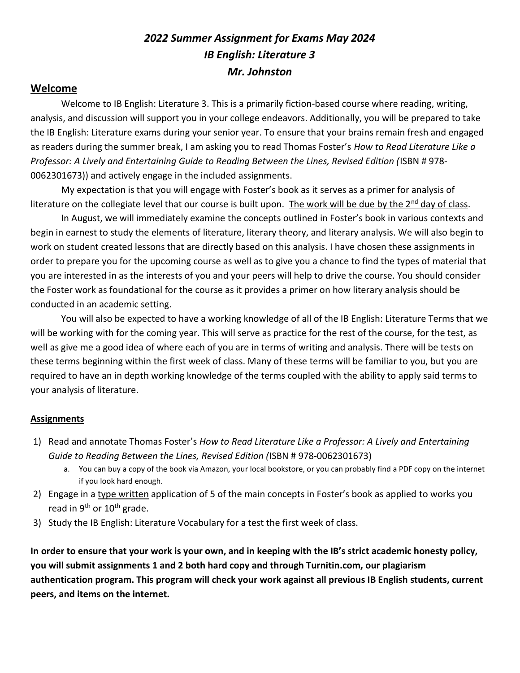# 2022 Summer Assignment for Exams May 2024 IB English: Literature 3 Mr. Johnston

# Welcome

Welcome to IB English: Literature 3. This is a primarily fiction-based course where reading, writing, analysis, and discussion will support you in your college endeavors. Additionally, you will be prepared to take the IB English: Literature exams during your senior year. To ensure that your brains remain fresh and engaged as readers during the summer break, I am asking you to read Thomas Foster's How to Read Literature Like a Professor: A Lively and Entertaining Guide to Reading Between the Lines, Revised Edition (ISBN # 978- 0062301673)) and actively engage in the included assignments.

My expectation is that you will engage with Foster's book as it serves as a primer for analysis of literature on the collegiate level that our course is built upon. The work will be due by the  $2^{nd}$  day of class.

In August, we will immediately examine the concepts outlined in Foster's book in various contexts and begin in earnest to study the elements of literature, literary theory, and literary analysis. We will also begin to work on student created lessons that are directly based on this analysis. I have chosen these assignments in order to prepare you for the upcoming course as well as to give you a chance to find the types of material that you are interested in as the interests of you and your peers will help to drive the course. You should consider the Foster work as foundational for the course as it provides a primer on how literary analysis should be conducted in an academic setting.

You will also be expected to have a working knowledge of all of the IB English: Literature Terms that we will be working with for the coming year. This will serve as practice for the rest of the course, for the test, as well as give me a good idea of where each of you are in terms of writing and analysis. There will be tests on these terms beginning within the first week of class. Many of these terms will be familiar to you, but you are required to have an in depth working knowledge of the terms coupled with the ability to apply said terms to your analysis of literature.

# **Assignments**

- 1) Read and annotate Thomas Foster's How to Read Literature Like a Professor: A Lively and Entertaining Guide to Reading Between the Lines, Revised Edition (ISBN # 978-0062301673)
	- a. You can buy a copy of the book via Amazon, your local bookstore, or you can probably find a PDF copy on the internet if you look hard enough.
- 2) Engage in a type written application of 5 of the main concepts in Foster's book as applied to works you read in 9<sup>th</sup> or 10<sup>th</sup> grade.
- 3) Study the IB English: Literature Vocabulary for a test the first week of class.

In order to ensure that your work is your own, and in keeping with the IB's strict academic honesty policy, you will submit assignments 1 and 2 both hard copy and through Turnitin.com, our plagiarism authentication program. This program will check your work against all previous IB English students, current peers, and items on the internet.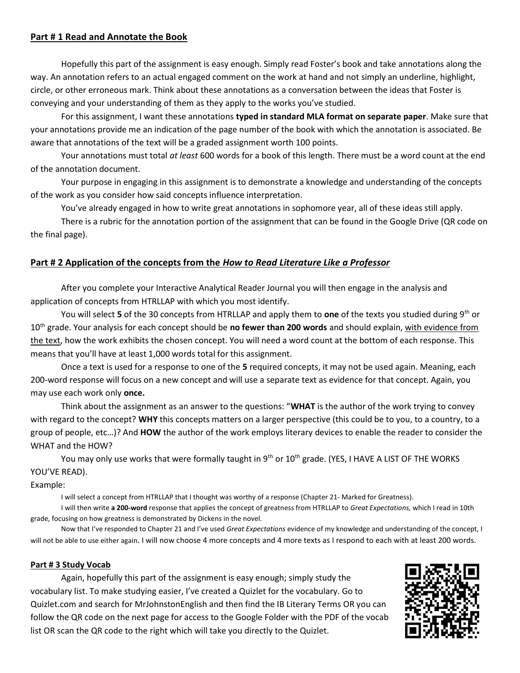## Part # 1 Read and Annotate the Book

 Hopefully this part of the assignment is easy enough. Simply read Foster's book and take annotations along the way. An annotation refers to an actual engaged comment on the work at hand and not simply an underline, highlight, circle, or other erroneous mark. Think about these annotations as a conversation between the ideas that Foster is conveying and your understanding of them as they apply to the works you've studied.

For this assignment, I want these annotations typed in standard MLA format on separate paper. Make sure that your annotations provide me an indication of the page number of the book with which the annotation is associated. Be aware that annotations of the text will be a graded assignment worth 100 points.

Your annotations must total at least 600 words for a book of this length. There must be a word count at the end of the annotation document.

 Your purpose in engaging in this assignment is to demonstrate a knowledge and understanding of the concepts of the work as you consider how said concepts influence interpretation.

You've already engaged in how to write great annotations in sophomore year, all of these ideas still apply.

 There is a rubric for the annotation portion of the assignment that can be found in the Google Drive (QR code on the final page).

# Part # 2 Application of the concepts from the How to Read Literature Like a Professor

After you complete your Interactive Analytical Reader Journal you will then engage in the analysis and application of concepts from HTRLLAP with which you most identify.

You will select 5 of the 30 concepts from HTRLLAP and apply them to one of the texts you studied during  $9<sup>th</sup>$  or 10<sup>th</sup> grade. Your analysis for each concept should be no fewer than 200 words and should explain, with evidence from the text, how the work exhibits the chosen concept. You will need a word count at the bottom of each response. This means that you'll have at least 1,000 words total for this assignment.

Once a text is used for a response to one of the 5 required concepts, it may not be used again. Meaning, each 200-word response will focus on a new concept and will use a separate text as evidence for that concept. Again, you may use each work only once.

Think about the assignment as an answer to the questions: "WHAT is the author of the work trying to convey with regard to the concept? WHY this concepts matters on a larger perspective (this could be to you, to a country, to a group of people, etc...)? And HOW the author of the work employs literary devices to enable the reader to consider the WHAT and the HOW?

You may only use works that were formally taught in 9<sup>th</sup> or 10<sup>th</sup> grade. (YES, I HAVE A LIST OF THE WORKS YOU'VE READ).

#### Example:

I will select a concept from HTRLLAP that I thought was worthy of a response (Chapter 21- Marked for Greatness).

I will then write a 200-word response that applies the concept of greatness from HTRLLAP to Great Expectations, which I read in 10th grade, focusing on how greatness is demonstrated by Dickens in the novel.

Now that I've responded to Chapter 21 and I've used Great Expectations evidence of my knowledge and understanding of the concept, I will not be able to use either again. I will now choose 4 more concepts and 4 more texts as I respond to each with at least 200 words.

#### Part # 3 Study Vocab

Again, hopefully this part of the assignment is easy enough; simply study the vocabulary list. To make studying easier, I've created a Quizlet for the vocabulary. Go to Quizlet.com and search for MrJohnstonEnglish and then find the IB Literary Terms OR you can follow the QR code on the next page for access to the Google Folder with the PDF of the vocab list OR scan the QR code to the right which will take you directly to the Quizlet.